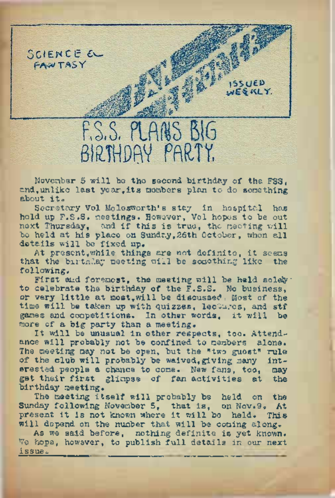

November 5 will be the second, birthday of the FSS, and, unlike last year, its mombers plan to do something about it.

Secretary Vol Molesworth's stay in hospital has held up F.S.S. meetings. However, Vol hopes to be out next Thursday, and if this is true, tho meeting will be held at his place on Sunday,26th October, when all details will be fixed up.

At present,while things are not definite, it seems that the birthday meeting will be something like the following.

First and foremost, the meeting will be held solely: to celebrate the birthday of the F.S.S. No business, or very little at most, will be discussed. Most of the time will be taken up with quizzes, lectures, and stf games and competitions. In other words, it will be more of a big party than a meeting.

It will be unusual in other respects, too. Attendance will probably not be confined to members alone. The meeting may not be open, but the "two guest" rule of the club will probably be waived, giving many interested people a chance to come. New fans, too, may get their first glimpse of fan activities at the birthday meeting.

The meeting itself will probably be held on the Sunday following November 5, that is, on Nov.9. At<br>present it is not known where it will be held. This present it is not known where it will be held. will depend on the number that will be coming along.

As we said before, nothing definite is yet known. We hope, however, to publish full details in our next issue.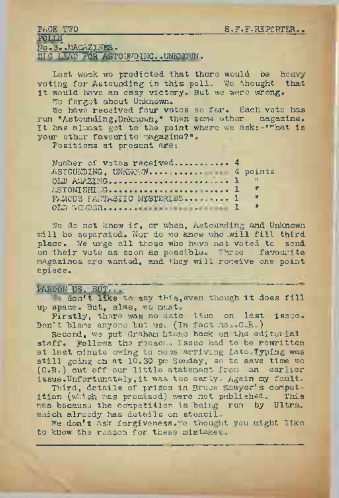| <b>PAGE TWO</b>                   | S.F.F.REPORTER |
|-----------------------------------|----------------|
| POLIS                             |                |
| No.3. MACAZINES.                  |                |
| BIG LEAD FOR ASTOUNDING. UNKNOWN. |                |

Last wook we predicted that there would be heavyvoting for Astounding in this polio Wo thought that it would have an.easy victory. But we were wrong.

We forgot about Unknown.

We have received four votes so far. Each vote has run "Astounding,Unkn0wne" then some other magazine. It has almost got to the point where we ask:-''What is ASTOUNDING, UNKNOWN.. -. ............ <sup>4</sup> points your other favourite magazine?".

Positions at present are:

| Number of votas received 4   |                |
|------------------------------|----------------|
|                              |                |
| DLD AN/ZING                  |                |
|                              | <b>CONTENT</b> |
| FAROUS FANTASTIC MYSTERIES 1 | M              |
|                              | $\overline{1}$ |
|                              |                |

We do not know if, or when. Astounding and Unknown will be separated. Nor do we know who .will fill third place. We urge all those who have not voted to send on their vote as soon as possible. Three favourite magazines are wanted, and they will receive one point apiece.

## PARDON US, BUT.

don't like to say this,even though it does fill up space. But, alas, we must.

Firstly, there was no date line on last issue. Don't blame anyone but us. (In fact me. C.R.)

Second, we put Graham Stone back on the editorial staff. Follows the reason. Issue had to be rewritten at last minute owing to news arriving late. Typing was still going on at 10.30 pm Sunday, so to save time we (C.R.) cut off our little statement from an earlier issue.Unfortunately,it was too early. Again my fault.

Third, details of prizes in Bruce Sawyer's competition (which was promised) were not published. This was because the competition is being run by Ultra, which already has details on stencil.

We don't ask forgiveness.<sup>We</sup> thought you might like to know the reason for these mistakes.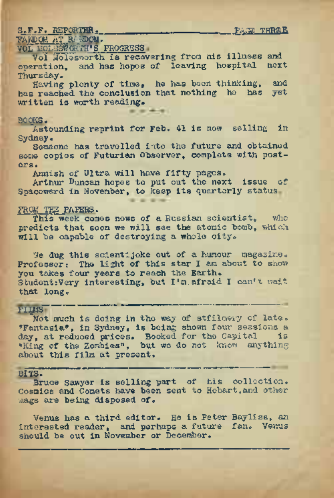## S.F.F. REPORTER\* \_\_\_\_\_\_\_\_\_\_\_ , PAGE THREE

## TANDCM AT RANDOM.

vol 101-389 Graphs.<br>Vol Molesworth is recovering from his illness and.<br>Vol Molesworth is recovering from his illness and. operation, and. has hopes of leaving hospital next Thursday.

Having plenty of time, he has been thinking, and has reached the conclusion that nothing he has yet written is worth reading.

## BOOKS.

Astounding reprint for Feb. 41 is now selling in Sydney.

Someone has travelled into the future and obtained some copies of Futurian Observer, complete with posters.

Annish of Ultra will have fifty pages.

Arthur Duncan hopes to put out the next issue of Spaceward in November, to keep its quarterly status

### FROM. TEE PATERS.

This week comes news of a Russian scientist, who predicts that soon we will see the atomic bomb, which will be capable of destroying a whole city.

We dug this scientijoke out of a humour magasine. Professor: The light of this star I am about to show you takes four years to reach the Earth. Student:Very interesting, but I'm afraid I can't wait that long.

# FII M S"

mot much is doing in the way of stillnery of late.<br>"Fantasia", in Sydney, is being shown four sessions a t long.<br>Mot much is doing in the way of stfilmery of late. day, at reduced prices. Booked for the Capital is "King of the Zombies", but we do not know anything about this film at present.

Bits. The Sample of the Collection. Cosmics and Comets have been sent to Hobart,and other mags are being disposed of.

Venus has a third editor. He is Peter Bayliss, an interested reader, and perhaps a future fan. Venus should be out in November or December.